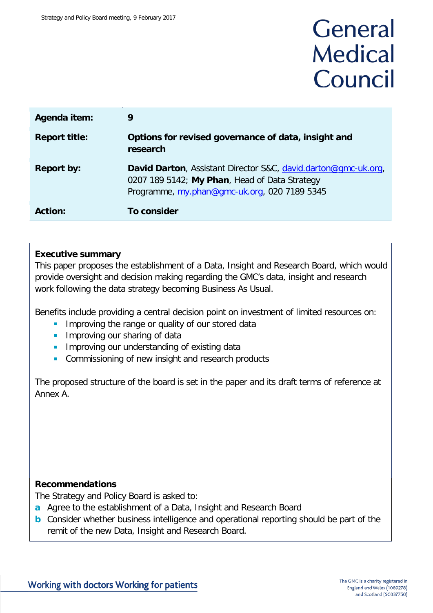# General **Medical** Council

| Agenda item:         | 9                                                                                                                                                               |
|----------------------|-----------------------------------------------------------------------------------------------------------------------------------------------------------------|
| <b>Report title:</b> | Options for revised governance of data, insight and<br>research                                                                                                 |
| <b>Report by:</b>    | David Darton, Assistant Director S&C, david.darton@gmc-uk.org,<br>0207 189 5142; My Phan, Head of Data Strategy<br>Programme, my.phan@gmc-uk.org, 020 7189 5345 |
| <b>Action:</b>       | To consider                                                                                                                                                     |

### **Executive summary**

This paper proposes the establishment of a Data, Insight and Research Board, which would provide oversight and decision making regarding the GMC's data, insight and research work following the data strategy becoming Business As Usual.

Benefits include providing a central decision point on investment of limited resources on:

- **IMPROVING the range or quality of our stored data**
- **Improving our sharing of data**
- **IMPROVING OUT UNDERTAINATION** of existing data
- **Commissioning of new insight and research products**

The proposed structure of the board is set in the paper and its draft terms of reference at Annex A.

### **Recommendations**

The Strategy and Policy Board is asked to:

- **a** Agree to the establishment of a Data, Insight and Research Board
- **b** Consider whether business intelligence and operational reporting should be part of the remit of the new Data, Insight and Research Board.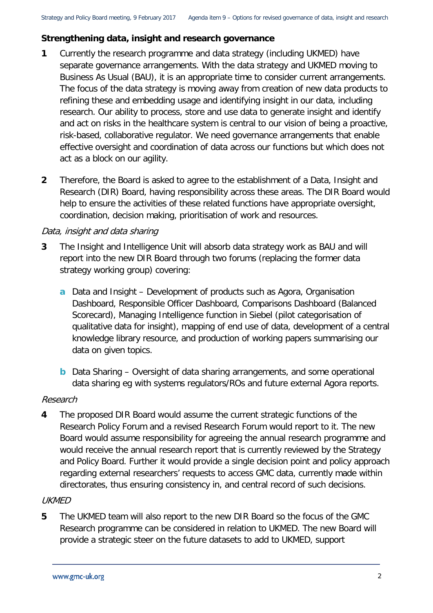### **Strengthening data, insight and research governance**

- **1** Currently the research programme and data strategy (including UKMED) have separate governance arrangements. With the data strategy and UKMED moving to Business As Usual (BAU), it is an appropriate time to consider current arrangements. The focus of the data strategy is moving away from creation of new data products to refining these and embedding usage and identifying insight in our data, including research. Our ability to process, store and use data to generate insight and identify and act on risks in the healthcare system is central to our vision of being a proactive, risk-based, collaborative regulator. We need governance arrangements that enable effective oversight and coordination of data across our functions but which does not act as a block on our agility.
- **2** Therefore, the Board is asked to agree to the establishment of a Data, Insight and Research (DIR) Board, having responsibility across these areas. The DIR Board would help to ensure the activities of these related functions have appropriate oversight, coordination, decision making, prioritisation of work and resources.

### Data, insight and data sharing

- **3** The Insight and Intelligence Unit will absorb data strategy work as BAU and will report into the new DIR Board through two forums (replacing the former data strategy working group) covering:
	- **a** Data and Insight Development of products such as Agora, Organisation Dashboard, Responsible Officer Dashboard, Comparisons Dashboard (Balanced Scorecard), Managing Intelligence function in Siebel (pilot categorisation of qualitative data for insight), mapping of end use of data, development of a central knowledge library resource, and production of working papers summarising our data on given topics.
	- **b** Data Sharing Oversight of data sharing arrangements, and some operational data sharing eg with systems regulators/ROs and future external Agora reports.

### Research

**4** The proposed DIR Board would assume the current strategic functions of the Research Policy Forum and a revised Research Forum would report to it. The new Board would assume responsibility for agreeing the annual research programme and would receive the annual research report that is currently reviewed by the Strategy and Policy Board. Further it would provide a single decision point and policy approach regarding external researchers' requests to access GMC data, currently made within directorates, thus ensuring consistency in, and central record of such decisions.

### **UKMED**

**5** The UKMED team will also report to the new DIR Board so the focus of the GMC Research programme can be considered in relation to UKMED. The new Board will provide a strategic steer on the future datasets to add to UKMED, support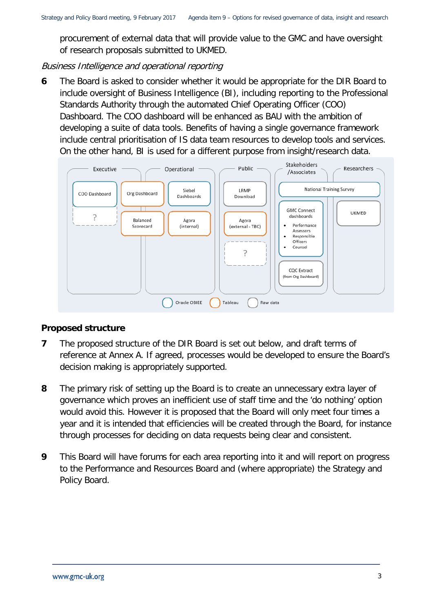procurement of external data that will provide value to the GMC and have oversight of research proposals submitted to UKMED.

### Business Intelligence and operational reporting

**6** The Board is asked to consider whether it would be appropriate for the DIR Board to include oversight of Business Intelligence (BI), including reporting to the Professional Standards Authority through the automated Chief Operating Officer (COO) Dashboard. The COO dashboard will be enhanced as BAU with the ambition of developing a suite of data tools. Benefits of having a single governance framework include central prioritisation of IS data team resources to develop tools and services. On the other hand, BI is used for a different purpose from insight/research data.



### **Proposed structure**

- **7** The proposed structure of the DIR Board is set out below, and draft terms of reference at Annex A. If agreed, processes would be developed to ensure the Board's decision making is appropriately supported.
- **8** The primary risk of setting up the Board is to create an unnecessary extra layer of governance which proves an inefficient use of staff time and the 'do nothing' option would avoid this. However it is proposed that the Board will only meet four times a year and it is intended that efficiencies will be created through the Board, for instance through processes for deciding on data requests being clear and consistent.
- **9** This Board will have forums for each area reporting into it and will report on progress to the Performance and Resources Board and (where appropriate) the Strategy and Policy Board.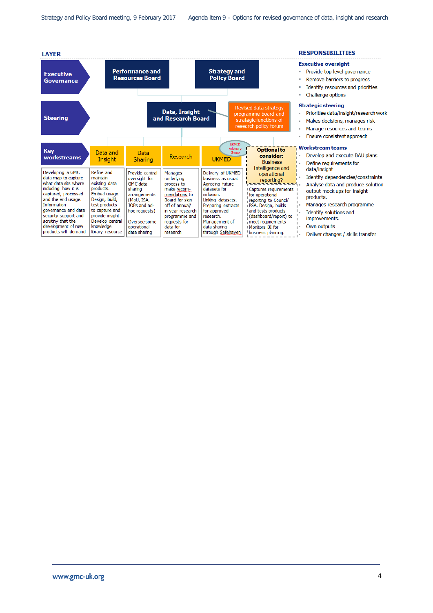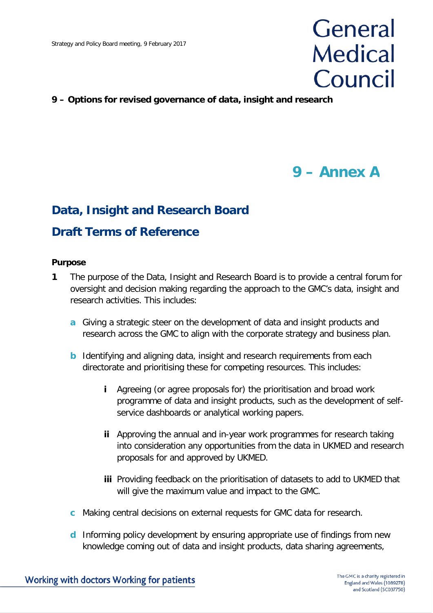# General **Medical** Council

### **9 – Options for revised governance of data, insight and research**

## **9 – Annex A**

### **Data, Insight and Research Board**

### **Draft Terms of Reference**

#### **Purpose**

- **1** The purpose of the Data, Insight and Research Board is to provide a central forum for oversight and decision making regarding the approach to the GMC's data, insight and research activities. This includes:
	- **a** Giving a strategic steer on the development of data and insight products and research across the GMC to align with the corporate strategy and business plan.
	- **b** Identifying and aligning data, insight and research requirements from each directorate and prioritising these for competing resources. This includes:
		- **i** Agreeing (or agree proposals for) the prioritisation and broad work programme of data and insight products, such as the development of selfservice dashboards or analytical working papers.
		- **ii** Approving the annual and in-year work programmes for research taking into consideration any opportunities from the data in UKMED and research proposals for and approved by UKMED.
		- **iii** Providing feedback on the prioritisation of datasets to add to UKMED that will give the maximum value and impact to the GMC.
	- **c** Making central decisions on external requests for GMC data for research.
	- **d** Informing policy development by ensuring appropriate use of findings from new knowledge coming out of data and insight products, data sharing agreements,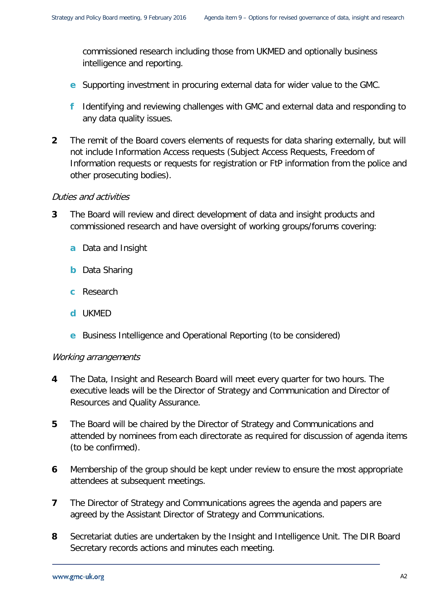commissioned research including those from UKMED and optionally business intelligence and reporting.

- **e** Supporting investment in procuring external data for wider value to the GMC.
- **f** Identifying and reviewing challenges with GMC and external data and responding to any data quality issues.
- **2** The remit of the Board covers elements of requests for data sharing externally, but will not include Information Access requests (Subject Access Requests, Freedom of Information requests or requests for registration or FtP information from the police and other prosecuting bodies).

### Duties and activities

- **3** The Board will review and direct development of data and insight products and commissioned research and have oversight of working groups/forums covering:
	- **a** Data and Insight
	- **b** Data Sharing
	- **c** Research
	- **d** UKMED
	- **e** Business Intelligence and Operational Reporting (to be considered)

#### Working arrangements

- **4** The Data, Insight and Research Board will meet every quarter for two hours. The executive leads will be the Director of Strategy and Communication and Director of Resources and Quality Assurance.
- **5** The Board will be chaired by the Director of Strategy and Communications and attended by nominees from each directorate as required for discussion of agenda items (to be confirmed).
- **6** Membership of the group should be kept under review to ensure the most appropriate attendees at subsequent meetings.
- **7** The Director of Strategy and Communications agrees the agenda and papers are agreed by the Assistant Director of Strategy and Communications.
- **8** Secretariat duties are undertaken by the Insight and Intelligence Unit. The DIR Board Secretary records actions and minutes each meeting.